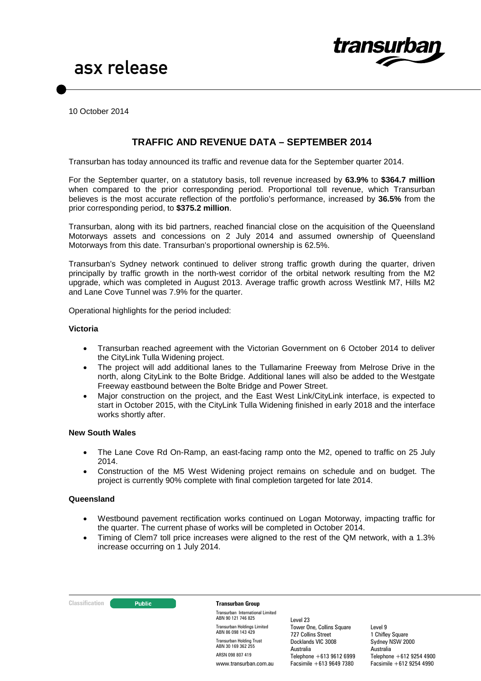

10 October 2014

# **TRAFFIC AND REVENUE DATA – SEPTEMBER 2014**

Transurban has today announced its traffic and revenue data for the September quarter 2014.

For the September quarter, on a statutory basis, toll revenue increased by **63.9%** to **\$364.7 million** when compared to the prior corresponding period. Proportional toll revenue, which Transurban believes is the most accurate reflection of the portfolio's performance, increased by **36.5%** from the prior corresponding period, to **\$375.2 million**.

Transurban, along with its bid partners, reached financial close on the acquisition of the Queensland Motorways assets and concessions on 2 July 2014 and assumed ownership of Queensland Motorways from this date. Transurban's proportional ownership is 62.5%.

Transurban's Sydney network continued to deliver strong traffic growth during the quarter, driven principally by traffic growth in the north-west corridor of the orbital network resulting from the M2 upgrade, which was completed in August 2013. Average traffic growth across Westlink M7, Hills M2 and Lane Cove Tunnel was 7.9% for the quarter.

Operational highlights for the period included:

#### **Victoria**

- Transurban reached agreement with the Victorian Government on 6 October 2014 to deliver the CityLink Tulla Widening project.
- The project will add additional lanes to the Tullamarine Freeway from Melrose Drive in the north, along CityLink to the Bolte Bridge. Additional lanes will also be added to the Westgate Freeway eastbound between the Bolte Bridge and Power Street.
- Major construction on the project, and the East West Link/CityLink interface, is expected to start in October 2015, with the CityLink Tulla Widening finished in early 2018 and the interface works shortly after.

#### **New South Wales**

- The Lane Cove Rd On-Ramp, an east-facing ramp onto the M2, opened to traffic on 25 July 2014.
- Construction of the M5 West Widening project remains on schedule and on budget. The project is currently 90% complete with final completion targeted for late 2014.

#### <span id="page-0-0"></span>**Queensland**

- Westbound pavement rectification works continued on Logan Motorway, impacting traffic for the quarter. The current phase of works will be completed in October 2014.
- Timing of Clem7 toll price increases were aligned to the rest of the QM network, with a 1.3% increase occurring on 1 July 2014.

#### **Classification Construction Transurban Group**

Transurban International Limited ABN 90 121 746 825 Transurban Holdings Limited ABN 86 098 143 429 Transurban Holding Trust ABN 30 169 362 255 ARSN 098 807 419 www.transurban.com.au

Level 23 Tower One, Collins Square 727 Collins Street Docklands VIC 3008 Australia Telephone +613 9612 6999 Facsimile +613 9649 7380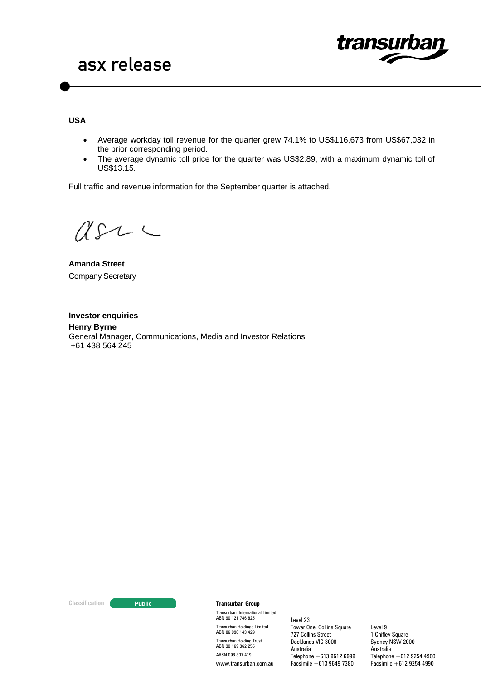

**USA**

- Average workday toll revenue for the quarter grew 74.1% to US\$116,673 from US\$67,032 in the prior corresponding period.
- The average dynamic toll price for the quarter was US\$2.89, with a maximum dynamic toll of US\$13.15.

Full traffic and revenue information for the September quarter is attached.

 $USL \subset$ 

**Amanda Street** Company Secretary

**Investor enquiries Henry Byrne** General Manager, Communications, Media and Investor Relations +61 438 564 245

#### **Classification Construction Transurban Group**

Transurban International Limited ABN 90 121 746 825 Transurban Holdings Limited ABN 86 098 143 429 Transurban Holding Trust ABN 30 169 362 255 ARSN 098 807 419 www.transurban.com.au

Level 23 Tower One, Collins Square 727 Collins Street Docklands VIC 3008 Australia Telephone +613 9612 6999 Facsimile +613 9649 7380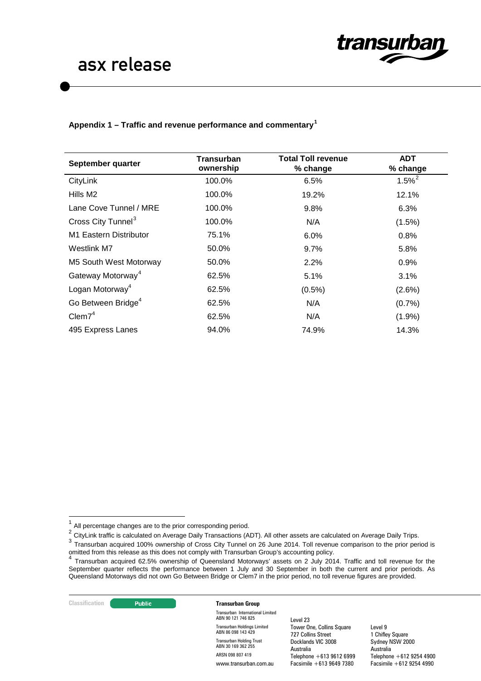

## **Appendix 1 – Traffic and revenue performance and commentary[1](#page-0-0)**

| September quarter              | <b>Transurban</b><br>ownership | <b>Total Toll revenue</b><br>% change | <b>ADT</b><br>% change |
|--------------------------------|--------------------------------|---------------------------------------|------------------------|
| CityLink                       | 100.0%                         | 6.5%                                  | $1.5%^{2}$             |
| Hills M2                       | 100.0%                         | 19.2%                                 | 12.1%                  |
| Lane Cove Tunnel / MRE         | 100.0%                         | 9.8%                                  | 6.3%                   |
| Cross City Tunnel <sup>3</sup> | 100.0%                         | N/A                                   | $(1.5\%)$              |
| M1 Eastern Distributor         | 75.1%                          | 6.0%                                  | 0.8%                   |
| Westlink M7                    | 50.0%                          | $9.7\%$                               | 5.8%                   |
| M5 South West Motorway         | 50.0%                          | 2.2%                                  | 0.9%                   |
| Gateway Motorway <sup>4</sup>  | 62.5%                          | 5.1%                                  | 3.1%                   |
| Logan Motorway <sup>4</sup>    | 62.5%                          | $(0.5\%)$                             | (2.6%)                 |
| Go Between Bridge <sup>4</sup> | 62.5%                          | N/A                                   | (0.7%                  |
| Clem7 <sup>4</sup>             | 62.5%                          | N/A                                   | $(1.9\%)$              |
| 495 Express Lanes              | 94.0%                          | 74.9%                                 | 14.3%                  |

#### **Classification Transurban Group**

Transurban International Limited ABN 90 121 746 825 Transurban Holdings Limited ABN 86 098 143 429 Transurban Holding Trust ABN 30 169 362 255 ARSN 098 807 419 www.transurban.com.au

Level 23 Tower One, Collins Square 727 Collins Street Docklands VIC 3008 Australia Telephone +613 9612 6999 Facsimile +613 9649 7380

 $1$  All percentage changes are to the prior corresponding period.

<span id="page-2-0"></span><sup>2</sup> CityLink traffic is calculated on Average Daily Transactions (ADT). All other assets are calculated on Average Daily Trips.

<span id="page-2-1"></span><sup>3</sup> Transurban acquired 100% ownership of Cross City Tunnel on 26 June 2014. Toll revenue comparison to the prior period is omitted from this release as this does not comply with Transurban Group's accounting policy.<br>4 Terms until the set of the set of the set of the set of the set of the set of the set of the set of the set of the set of the s

<span id="page-2-3"></span><span id="page-2-2"></span><sup>&</sup>lt;sup>4</sup> Transurban acquired 62.5% ownership of Queensland Motorways' assets on 2 July 2014. Traffic and toll revenue for the September quarter reflects the performance between 1 July and 30 September in both the current and prior periods. As Queensland Motorways did not own Go Between Bridge or Clem7 in the prior period, no toll revenue figures are provided.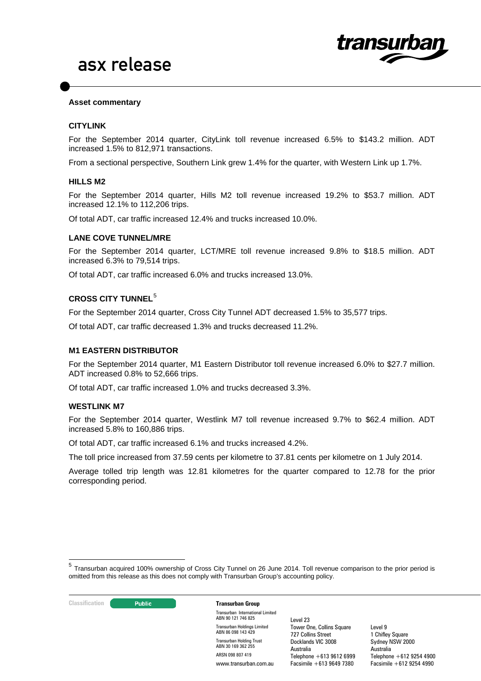

#### **Asset commentary**

## **CITYLINK**

For the September 2014 quarter, CityLink toll revenue increased 6.5% to \$143.2 million. ADT increased 1.5% to 812,971 transactions.

From a sectional perspective, Southern Link grew 1.4% for the quarter, with Western Link up 1.7%.

#### **HILLS M2**

For the September 2014 quarter, Hills M2 toll revenue increased 19.2% to \$53.7 million. ADT increased 12.1% to 112,206 trips.

Of total ADT, car traffic increased 12.4% and trucks increased 10.0%.

#### **LANE COVE TUNNEL/MRE**

For the September 2014 quarter, LCT/MRE toll revenue increased 9.8% to \$18.5 million. ADT increased 6.3% to 79,514 trips.

Of total ADT, car traffic increased 6.0% and trucks increased 13.0%.

# **CROSS CITY TUNNEL**[5](#page-2-3)

For the September 2014 quarter, Cross City Tunnel ADT decreased 1.5% to 35,577 trips.

Of total ADT, car traffic decreased 1.3% and trucks decreased 11.2%.

## **M1 EASTERN DISTRIBUTOR**

For the September 2014 quarter, M1 Eastern Distributor toll revenue increased 6.0% to \$27.7 million. ADT increased 0.8% to 52,666 trips.

Of total ADT, car traffic increased 1.0% and trucks decreased 3.3%.

#### **WESTLINK M7**

For the September 2014 quarter, Westlink M7 toll revenue increased 9.7% to \$62.4 million. ADT increased 5.8% to 160,886 trips.

Of total ADT, car traffic increased 6.1% and trucks increased 4.2%.

The toll price increased from 37.59 cents per kilometre to 37.81 cents per kilometre on 1 July 2014.

Average tolled trip length was 12.81 kilometres for the quarter compared to 12.78 for the prior corresponding period.

#### **Classification Transurban Group**

Transurban International Limited ABN 90 121 746 825 Transurban Holdings Limited ABN 86 098 143 429 Transurban Holding Trust ABN 30 169 362 255 ARSN 098 807 419 www.transurban.com.au

Level 23 Tower One, Collins Square 727 Collins Street Docklands VIC 3008 Australia Telephone +613 9612 6999 Facsimile +613 9649 7380

<span id="page-3-0"></span><sup>5</sup> Transurban acquired 100% ownership of Cross City Tunnel on 26 June 2014. Toll revenue comparison to the prior period is omitted from this release as this does not comply with Transurban Group's accounting policy.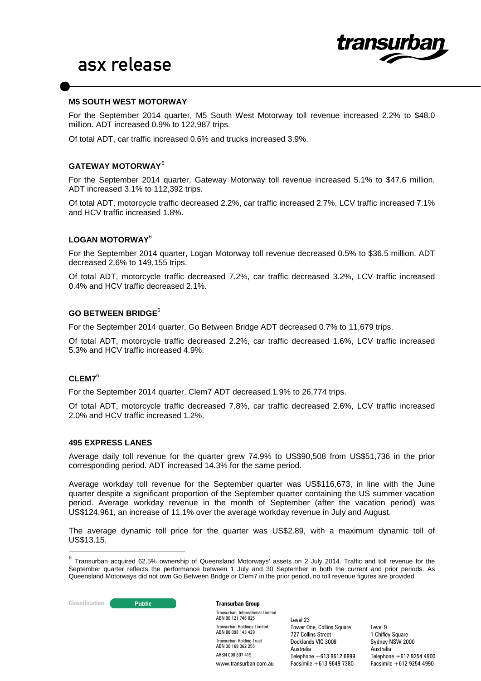

#### **M5 SOUTH WEST MOTORWAY**

For the September 2014 quarter, M5 South West Motorway toll revenue increased 2.2% to \$48.0 million. ADT increased 0.9% to 122,987 trips.

Of total ADT, car traffic increased 0.6% and trucks increased 3.9%.

## **GATEWAY MOTORWAY**[6](#page-3-0)

For the September 2014 quarter, Gateway Motorway toll revenue increased 5.1% to \$47.6 million. ADT increased 3.1% to 112,392 trips.

Of total ADT, motorcycle traffic decreased 2.2%, car traffic increased 2.7%, LCV traffic increased 7.1% and HCV traffic increased 1.8%.

### **LOGAN MOTORWAY**<sup>6</sup>

For the September 2014 quarter, Logan Motorway toll revenue decreased 0.5% to \$36.5 million. ADT decreased 2.6% to 149,155 trips.

Of total ADT, motorcycle traffic decreased 7.2%, car traffic decreased 3.2%, LCV traffic increased 0.4% and HCV traffic decreased 2.1%.

# **GO BETWEEN BRIDGE**<sup>6</sup>

For the September 2014 quarter, Go Between Bridge ADT decreased 0.7% to 11,679 trips.

Of total ADT, motorcycle traffic decreased 2.2%, car traffic decreased 1.6%, LCV traffic increased 5.3% and HCV traffic increased 4.9%.

### **CLEM7**<sup>6</sup>

For the September 2014 quarter, Clem7 ADT decreased 1.9% to 26,774 trips.

Of total ADT, motorcycle traffic decreased 7.8%, car traffic decreased 2.6%, LCV traffic increased 2.0% and HCV traffic increased 1.2%.

#### **495 EXPRESS LANES**

Average daily toll revenue for the quarter grew 74.9% to US\$90,508 from US\$51,736 in the prior corresponding period. ADT increased 14.3% for the same period.

Average workday toll revenue for the September quarter was US\$116,673, in line with the June quarter despite a significant proportion of the September quarter containing the US summer vacation period. Average workday revenue in the month of September (after the vacation period) was US\$124,961, an increase of 11.1% over the average workday revenue in July and August.

<span id="page-4-0"></span>The average dynamic toll price for the quarter was US\$2.89, with a maximum dynamic toll of US\$13.15.

#### **Classification Transurban Group**

Transurban International Limited ABN 90 121 746 825 Transurban Holdings Limited ABN 86 098 143 429 Transurban Holding Trust ABN 30 169 362 255 ARSN 098 807 419 www.transurban.com.au

Level 23 Tower One, Collins Square 727 Collins Street Docklands VIC 3008 Australia Telephone +613 9612 6999 Facsimile +613 9649 7380

<sup>&</sup>lt;sup>6</sup> Transurban acquired 62.5% ownership of Queensland Motorways' assets on 2 July 2014. Traffic and toll revenue for the September quarter reflects the performance between 1 July and 30 September in both the current and prior periods. As Queensland Motorways did not own Go Between Bridge or Clem7 in the prior period, no toll revenue figures are provided.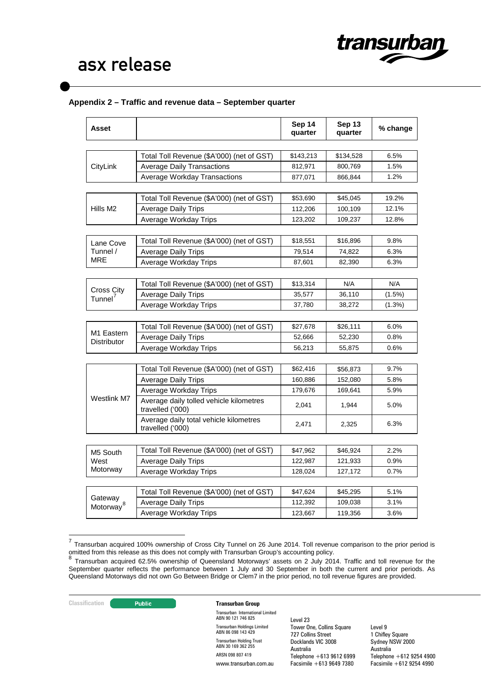

# **Appendix 2 – Traffic and revenue data – September quarter**

| <b>Asset</b>              |                                                             | Sep 14<br>quarter | Sep 13<br>quarter | % change  |
|---------------------------|-------------------------------------------------------------|-------------------|-------------------|-----------|
|                           |                                                             |                   |                   | 6.5%      |
|                           | Total Toll Revenue (\$A'000) (net of GST)                   | \$143,213         | \$134,528         | 1.5%      |
| CityLink                  | <b>Average Daily Transactions</b>                           | 812,971           | 800,769           |           |
|                           | <b>Average Workday Transactions</b>                         | 877,071           | 866,844           | 1.2%      |
|                           | Total Toll Revenue (\$A'000) (net of GST)                   | \$53,690          | \$45,045          | 19.2%     |
| Hills M <sub>2</sub>      | <b>Average Daily Trips</b>                                  | 112,206           | 100,109           | 12.1%     |
|                           | Average Workday Trips                                       | 123,202           | 109,237           | 12.8%     |
|                           |                                                             |                   |                   |           |
| Lane Cove                 | Total Toll Revenue (\$A'000) (net of GST)                   | \$18,551          | \$16,896          | 9.8%      |
| Tunnel /                  | <b>Average Daily Trips</b>                                  | 79,514            | 74,822            | 6.3%      |
| MRE                       | Average Workday Trips                                       | 87,601            | 82,390            | 6.3%      |
|                           |                                                             |                   |                   |           |
|                           | Total Toll Revenue (\$A'000) (net of GST)                   | \$13,314          | N/A               | N/A       |
| Cross City                | <b>Average Daily Trips</b>                                  | 35,577            | 36,110            | $(1.5\%)$ |
| Tunnel <sup>'</sup>       | Average Workday Trips                                       | 37,780            | 38,272            | $(1.3\%)$ |
|                           |                                                             |                   |                   |           |
|                           | Total Toll Revenue (\$A'000) (net of GST)                   | \$27,678          | \$26,111          | 6.0%      |
| M1 Eastern<br>Distributor | <b>Average Daily Trips</b>                                  | 52,666            | 52,230            | 0.8%      |
|                           | Average Workday Trips                                       | 56,213            | 55,875            | 0.6%      |
|                           |                                                             |                   |                   |           |
|                           | Total Toll Revenue (\$A'000) (net of GST)                   | \$62,416          | \$56,873          | 9.7%      |
|                           | <b>Average Daily Trips</b>                                  | 160,886           | 152,080           | 5.8%      |
|                           | Average Workday Trips                                       | 179,676           | 169,641           | 5.9%      |
| Westlink M7               | Average daily tolled vehicle kilometres<br>travelled ('000) | 2,041             | 1,944             | 5.0%      |
|                           | Average daily total vehicle kilometres<br>travelled ('000)  | 2,471             | 2,325             | 6.3%      |
|                           |                                                             |                   |                   |           |
| M5 South<br>West          | Total Toll Revenue (\$A'000) (net of GST)                   | \$47,962          | \$46,924          | 2.2%      |
|                           | <b>Average Daily Trips</b>                                  | 122,987           | 121,933           | 0.9%      |
| Motorway                  | Average Workday Trips                                       | 128,024           | 127,172           | 0.7%      |
|                           |                                                             |                   |                   |           |
| Gateway                   | Total Toll Revenue (\$A'000) (net of GST)                   | \$47,624          | \$45,295          | 5.1%      |
| Motorway <sup>8</sup>     | <b>Average Daily Trips</b>                                  | 112,392           | 109,038           | 3.1%      |
|                           | Average Workday Trips                                       | 123,667           | 119,356           | 3.6%      |

<sup>7</sup> Transurban acquired 100% ownership of Cross City Tunnel on 26 June 2014. Toll revenue comparison to the prior period is omitted from this release as this does not comply with Transurban Group's accounting policy.<br><sup>8</sup> Transurban Group's accounting policy.

#### **Classification Transurban Group**

Transurban International Limited ABN 90 121 746 825 Transurban Holdings Limited ABN 86 098 143 429 Transurban Holding Trust ABN 30 169 362 255 ARSN 098 807 419 www.transurban.com.au

Level 23 Tower One, Collins Square 727 Collins Street Docklands VIC 3008 Australia Telephone +613 9612 6999 Facsimile +613 9649 7380

<span id="page-5-1"></span><span id="page-5-0"></span><sup>&</sup>lt;sup>8</sup> Transurban acquired 62.5% ownership of Queensland Motorways' assets on 2 July 2014. Traffic and toll revenue for the September quarter reflects the performance between 1 July and 30 September in both the current and prior periods. As Queensland Motorways did not own Go Between Bridge or Clem7 in the prior period, no toll revenue figures are provided.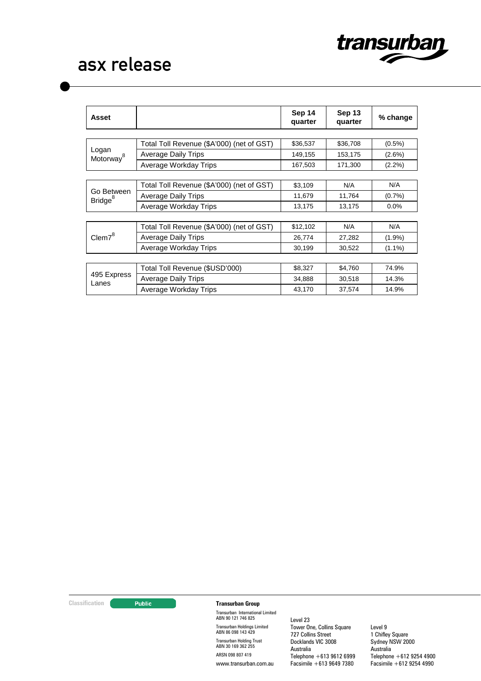

| Asset                             |                                           | Sep 14<br>quarter | Sep 13<br>quarter | % change  |
|-----------------------------------|-------------------------------------------|-------------------|-------------------|-----------|
|                                   |                                           |                   |                   |           |
| Logan<br>Motorway <sup>8</sup>    | Total Toll Revenue (\$A'000) (net of GST) | \$36,537          | \$36,708          | $(0.5\%)$ |
|                                   | <b>Average Daily Trips</b>                | 149,155           | 153,175           | $(2.6\%)$ |
|                                   | Average Workday Trips                     | 167,503           | 171,300           | $(2.2\%)$ |
|                                   |                                           |                   |                   |           |
| Go Between<br>Bridge <sup>8</sup> | Total Toll Revenue (\$A'000) (net of GST) | \$3,109           | N/A               | N/A       |
|                                   | <b>Average Daily Trips</b>                | 11,679            | 11,764            | (0.7%     |
|                                   | Average Workday Trips                     | 13,175            | 13,175            | 0.0%      |
|                                   |                                           |                   |                   |           |
| Clem <sup>8</sup>                 | Total Toll Revenue (\$A'000) (net of GST) | \$12,102          | N/A               | N/A       |
|                                   | <b>Average Daily Trips</b>                | 26,774            | 27,282            | $(1.9\%)$ |
|                                   | Average Workday Trips                     | 30,199            | 30,522            | $(1.1\%)$ |
|                                   |                                           |                   |                   |           |
| 495 Express<br>Lanes              | Total Toll Revenue (\$USD'000)            | \$8,327           | \$4,760           | 74.9%     |
|                                   | Average Daily Trips                       | 34,888            | 30,518            | 14.3%     |
|                                   | Average Workday Trips                     | 43,170            | 37,574            | 14.9%     |

#### **Classification Transurban Group**

Transurban International Limited ABN 90 121 746 825 Transurban Holdings Limited ABN 86 098 143 429 Transurban Holding Trust ABN 30 169 362 255 ARSN 098 807 419 www.transurban.com.au

Level 23 Tower One, Collins Square 727 Collins Street Docklands VIC 3008 Australia Telephone +613 9612 6999 Facsimile +613 9649 7380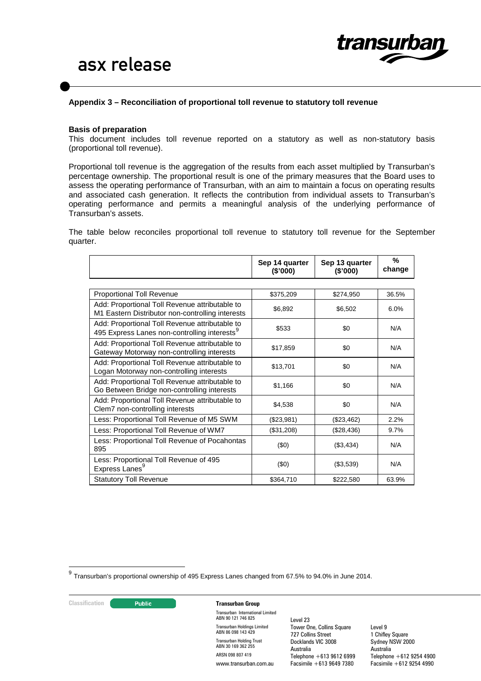

## **Appendix 3 – Reconciliation of proportional toll revenue to statutory toll revenue**

#### **Basis of preparation**

This document includes toll revenue reported on a statutory as well as non-statutory basis (proportional toll revenue).

Proportional toll revenue is the aggregation of the results from each asset multiplied by Transurban's percentage ownership. The proportional result is one of the primary measures that the Board uses to assess the operating performance of Transurban, with an aim to maintain a focus on operating results and associated cash generation. It reflects the contribution from individual assets to Transurban's operating performance and permits a meaningful analysis of the underlying performance of Transurban's assets.

The table below reconciles proportional toll revenue to statutory toll revenue for the September quarter.

|                                                                                                    | Sep 14 quarter<br>(\$'000) | Sep 13 quarter<br>(\$'000) | %<br>change |
|----------------------------------------------------------------------------------------------------|----------------------------|----------------------------|-------------|
|                                                                                                    |                            |                            |             |
| <b>Proportional Toll Revenue</b>                                                                   | \$375,209                  | \$274,950                  | 36.5%       |
| Add: Proportional Toll Revenue attributable to<br>M1 Eastern Distributor non-controlling interests | \$6,892                    | \$6,502                    | 6.0%        |
| Add: Proportional Toll Revenue attributable to<br>495 Express Lanes non-controlling interests      | \$533                      | \$0                        | N/A         |
| Add: Proportional Toll Revenue attributable to<br>Gateway Motorway non-controlling interests       | \$17,859                   | \$0                        | N/A         |
| Add: Proportional Toll Revenue attributable to<br>Logan Motorway non-controlling interests         | \$13,701                   | \$0                        | N/A         |
| Add: Proportional Toll Revenue attributable to<br>Go Between Bridge non-controlling interests      | \$1,166                    | \$0                        | N/A         |
| Add: Proportional Toll Revenue attributable to<br>Clem7 non-controlling interests                  | \$4,538                    | \$0                        | N/A         |
| Less: Proportional Toll Revenue of M5 SWM                                                          | (\$23,981)                 | (\$23,462)                 | 2.2%        |
| Less: Proportional Toll Revenue of WM7                                                             | (\$31,208)                 | (\$28,436)                 | 9.7%        |
| Less: Proportional Toll Revenue of Pocahontas<br>895                                               | (\$0)                      | (\$3,434)                  | N/A         |
| Less: Proportional Toll Revenue of 495<br>Express Lanes <sup>9</sup>                               | (\$0)                      | (\$3,539)                  | N/A         |
| <b>Statutory Toll Revenue</b>                                                                      | \$364,710                  | \$222,580                  | 63.9%       |

<span id="page-7-0"></span> $^{9}$  Transurban's proportional ownership of 495 Express Lanes changed from 67.5% to 94.0% in June 2014.

#### **Classification CLASSIFICATE:** Public **Transurban Group**

Transurban International Limited ABN 90 121 746 825 Transurban Holdings Limited ABN 86 098 143 429 Transurban Holding Trust ABN 30 169 362 255 ARSN 098 807 419 www.transurban.com.au

Level 23 Tower One, Collins Square 727 Collins Street Docklands VIC 3008 Australia Telephone  $+613,9612,6999$ Facsimile +613 9649 7380